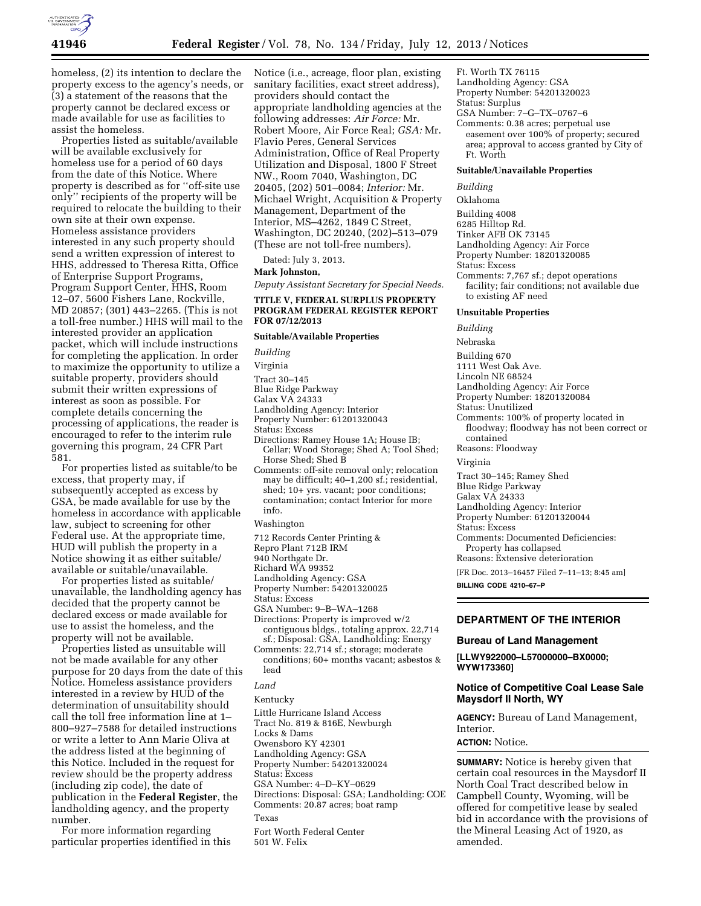

homeless, (2) its intention to declare the property excess to the agency's needs, or (3) a statement of the reasons that the property cannot be declared excess or made available for use as facilities to assist the homeless.

Properties listed as suitable/available will be available exclusively for homeless use for a period of 60 days from the date of this Notice. Where property is described as for ''off-site use only'' recipients of the property will be required to relocate the building to their own site at their own expense. Homeless assistance providers interested in any such property should send a written expression of interest to HHS, addressed to Theresa Ritta, Office of Enterprise Support Programs, Program Support Center, HHS, Room 12–07, 5600 Fishers Lane, Rockville, MD 20857; (301) 443–2265. (This is not a toll-free number.) HHS will mail to the interested provider an application packet, which will include instructions for completing the application. In order to maximize the opportunity to utilize a suitable property, providers should submit their written expressions of interest as soon as possible. For complete details concerning the processing of applications, the reader is encouraged to refer to the interim rule governing this program, 24 CFR Part 581.

For properties listed as suitable/to be excess, that property may, if subsequently accepted as excess by GSA, be made available for use by the homeless in accordance with applicable law, subject to screening for other Federal use. At the appropriate time, HUD will publish the property in a Notice showing it as either suitable/ available or suitable/unavailable.

For properties listed as suitable/ unavailable, the landholding agency has decided that the property cannot be declared excess or made available for use to assist the homeless, and the property will not be available.

Properties listed as unsuitable will not be made available for any other purpose for 20 days from the date of this Notice. Homeless assistance providers interested in a review by HUD of the determination of unsuitability should call the toll free information line at 1– 800–927–7588 for detailed instructions or write a letter to Ann Marie Oliva at the address listed at the beginning of this Notice. Included in the request for review should be the property address (including zip code), the date of publication in the **Federal Register**, the landholding agency, and the property number.

For more information regarding particular properties identified in this Notice (i.e., acreage, floor plan, existing sanitary facilities, exact street address), providers should contact the appropriate landholding agencies at the following addresses: *Air Force:* Mr. Robert Moore, Air Force Real; *GSA:* Mr. Flavio Peres, General Services Administration, Office of Real Property Utilization and Disposal, 1800 F Street NW., Room 7040, Washington, DC 20405, (202) 501–0084; *Interior:* Mr. Michael Wright, Acquisition & Property Management, Department of the Interior, MS–4262, 1849 C Street, Washington, DC 20240, (202)–513–079 (These are not toll-free numbers).

Dated: July 3, 2013.

## **Mark Johnston,**

*Deputy Assistant Secretary for Special Needs.* 

# **TITLE V, FEDERAL SURPLUS PROPERTY PROGRAM FEDERAL REGISTER REPORT FOR 07/12/2013**

# **Suitable/Available Properties**

*Building* 

Virginia

Tract 30–145

- Blue Ridge Parkway
- Galax VA 24333

Landholding Agency: Interior

Property Number: 61201320043

Status: Excess

- Directions: Ramey House 1A; House IB; Cellar; Wood Storage; Shed A; Tool Shed; Horse Shed; Shed B
- Comments: off-site removal only; relocation may be difficult; 40–1,200 sf.; residential, shed; 10+ yrs. vacant; poor conditions; contamination; contact Interior for more info.

Washington

- 712 Records Center Printing &
- Repro Plant 712B IRM
- 940 Northgate Dr.
- Richard WA 99352
- Landholding Agency: GSA
- Property Number: 54201320025
- Status: Excess
- GSA Number: 9–B–WA–1268
- Directions: Property is improved w/2 contiguous bldgs., totaling approx. 22,714 sf.; Disposal: GSA, Landholding: Energy
- Comments: 22,714 sf.; storage; moderate conditions; 60+ months vacant; asbestos & lead
- *Land*

Kentucky

Little Hurricane Island Access

Tract No. 819 & 816E, Newburgh

Locks & Dams Owensboro KY 42301

Landholding Agency: GSA

Property Number: 54201320024

Status: Excess

GSA Number: 4–D–KY–0629

Directions: Disposal: GSA; Landholding: COE

Comments: 20.87 acres; boat ramp

Texas

Fort Worth Federal Center 501 W. Felix

Ft. Worth TX 76115

- Landholding Agency: GSA Property Number: 54201320023
- 
- Status: Surplus GSA Number: 7–G–TX–0767–6
- Comments: 0.38 acres; perpetual use easement over 100% of property; secured area; approval to access granted by City of Ft. Worth

### **Suitable/Unavailable Properties**

*Building* 

Oklahoma

Building 4008 6285 Hilltop Rd.

Tinker AFB OK 73145

Landholding Agency: Air Force

Property Number: 18201320085

Status: Excess

Comments: 7,767 sf.; depot operations facility; fair conditions; not available due to existing AF need

### **Unsuitable Properties**

*Building*  Nebraska Building 670 1111 West Oak Ave. Lincoln NE 68524 Landholding Agency: Air Force Property Number: 18201320084 Status: Unutilized Comments: 100% of property located in floodway; floodway has not been correct or contained Reasons: Floodway Virginia Tract 30–145; Ramey Shed Blue Ridge Parkway Galax VA 24333 Landholding Agency: Interior

Property Number: 61201320044

Status: Excess

Comments: Documented Deficiencies: Property has collapsed

Reasons: Extensive deterioration

[FR Doc. 2013–16457 Filed 7–11–13; 8:45 am] **BILLING CODE 4210–67–P** 

# **DEPARTMENT OF THE INTERIOR**

### **Bureau of Land Management**

**[LLWY922000–L57000000–BX0000; WYW173360]** 

# **Notice of Competitive Coal Lease Sale Maysdorf II North, WY**

**AGENCY:** Bureau of Land Management, Interior.

**ACTION:** Notice.

**SUMMARY:** Notice is hereby given that certain coal resources in the Maysdorf II North Coal Tract described below in Campbell County, Wyoming, will be offered for competitive lease by sealed bid in accordance with the provisions of the Mineral Leasing Act of 1920, as amended.